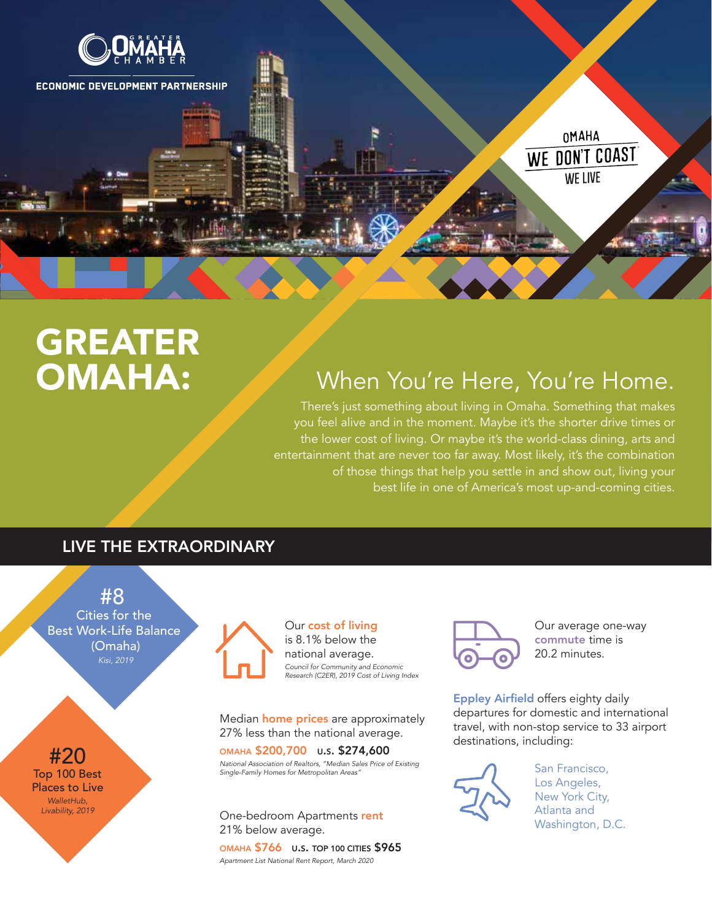

# GREATER OMAHA:

## When You're Here, You're Home.

There's just something about living in Omaha. Something that makes you feel alive and in the moment. Maybe it's the shorter drive times or the lower cost of living. Or maybe it's the world-class dining, arts and entertainment that are never too far away. Most likely, it's the combination of those things that help you settle in and show out, living your best life in one of America's most up-and-coming cities.

## LIVE THE EXTRAORDINARY



#20 Top 100 Best Places to Live *WalletHub, Livability, 2019*



Our cost of living is 8.1% below the national average. *Council for Community and Economic Research (C2ER), 2019 Cost of Living Index*

Median **home prices** are approximately 27% less than the national average.

OMAHA \$200,700 U.S. \$274,600 *National Association of Realtors, "Median Sales Price of Existing Single-Family Homes for Metropolitan Areas"*

One-bedroom Apartments rent 21% below average.

OMAHA \$766 U.S. TOP 100 CITIES \$965 *Apartment List National Rent Report, March 2020*



Our average one-way commute time is 20.2 minutes.

Eppley Airfield offers eighty daily departures for domestic and international travel, with non-stop service to 33 airport destinations, including:



San Francisco, Los Angeles, New York City, Atlanta and Washington, D.C.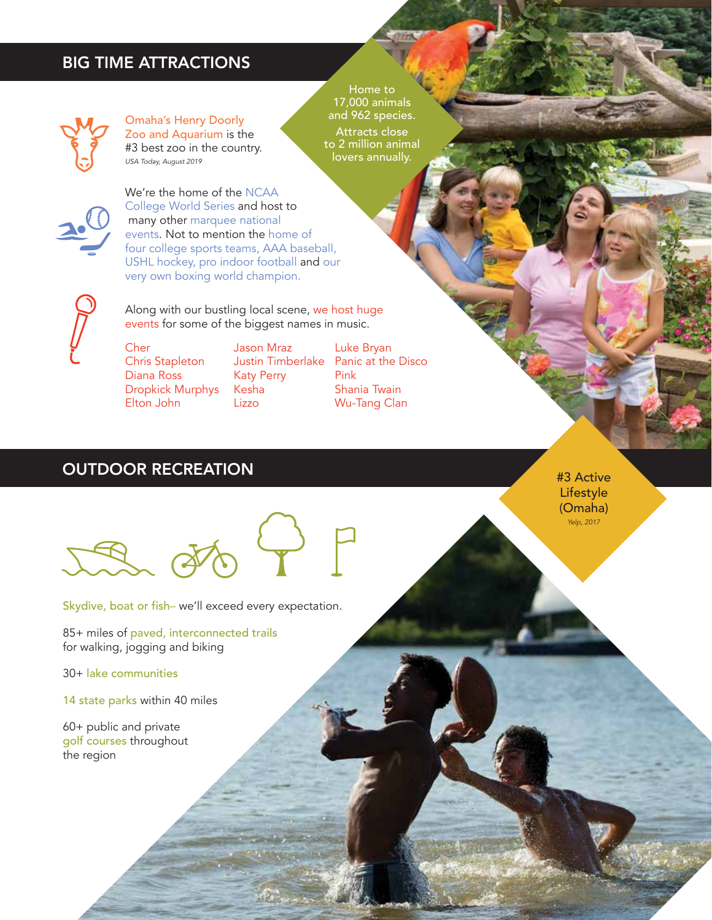#### BIG TIME ATTRACTIONS



Omaha's Henry Doorly Zoo and Aquarium is the #3 best zoo in the country. *USA Today, August 2019* 

Home to 17,000 animals and 962 species. Attracts close to 2 million animal lovers annually.



We're the home of the NCAA College World Series and host to many other marquee national events. Not to mention the home of four college sports teams, AAA baseball, USHL hockey, pro indoor football and our very own boxing world champion.

Cher Chris Stapleton Diana Ross Dropkick Murphys Elton John

Jason Mraz Katy Perry Kesha Lizzo

Along with our bustling local scene, we host huge events for some of the biggest names in music.

> Justin Timberlake Panic at the Disco Luke Bryan Pink Shania Twain Wu-Tang Clan

## **OUTDOOR RECREATION EXAMPLE 2008 12:00 ACTIVE 2009 12:00 ACTIVE 2009 13:00 ACTIVE**

Skydive, boat or fish– we'll exceed every expectation.

85+ miles of paved, interconnected trails for walking, jogging and biking

30+ lake communities

14 state parks within 40 miles

60+ public and private golf courses throughout the region

Lifestyle (Omaha) *Yelp, 2017*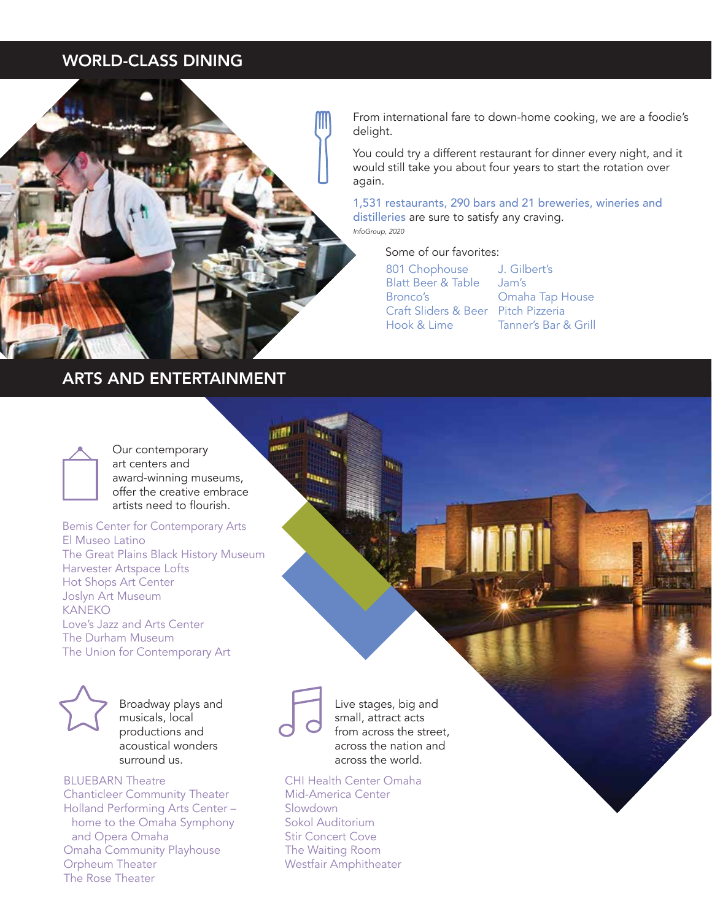## WORLD-CLASS DINING



## ARTS AND ENTERTAINMENT

From international fare to down-home cooking, we are a foodie's delight.

You could try a different restaurant for dinner every night, and it would still take you about four years to start the rotation over again.

1,531 restaurants, 290 bars and 21 breweries, wineries and distilleries are sure to satisfy any craving. *InfoGroup, 2020*

Some of our favorites:

| 801 Chophouse                       | J. Gilbert's         |
|-------------------------------------|----------------------|
| <b>Blatt Beer &amp; Table</b>       | Jam's                |
| Bronco's                            | Omaha Tap House      |
| Craft Sliders & Beer Pitch Pizzeria |                      |
| Hook & Lime                         | Tanner's Bar & Grill |



Our contemporary art centers and award-winning museums, offer the creative embrace artists need to flourish.

Bemis Center for Contemporary Arts El Museo Latino The Great Plains Black History Museum Harvester Artspace Lofts Hot Shops Art Center Joslyn Art Museum KANEKO Love's Jazz and Arts Center The Durham Museum The Union for Contemporary Art



Broadway plays and musicals, local productions and acoustical wonders surround us.

BLUEBARN Theatre Chanticleer Community Theater Holland Performing Arts Center – home to the Omaha Symphony and Opera Omaha Omaha Community Playhouse Orpheum Theater The Rose Theater



Live stages, big and small, attract acts from across the street, across the nation and across the world.

CHI Health Center Omaha Mid-America Center Slowdown Sokol Auditorium Stir Concert Cove The Waiting Room Westfair Amphitheater